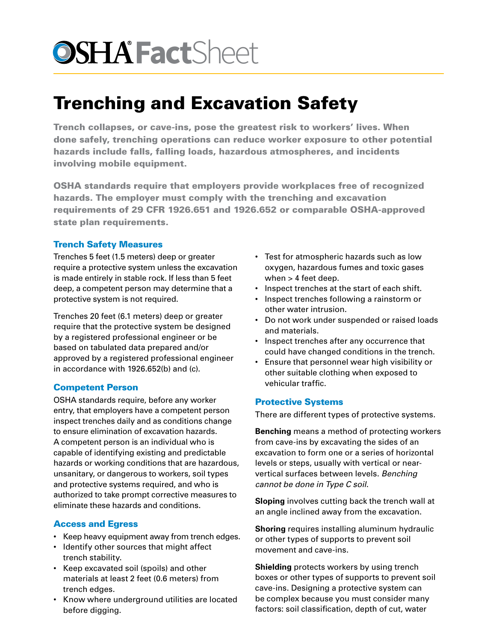# **OSHA FactSheet**

# Trenching and Excavation Safety

Trench collapses, or cave-ins, pose the greatest risk to workers' lives. When done safely, trenching operations can reduce worker exposure to other potential hazards include falls, falling loads, hazardous atmospheres, and incidents involving mobile equipment.

OSHA standards require that employers provide workplaces free of recognized hazards. The employer must comply with the trenching and excavation requirements of 29 CFR 1926.651 and 1926.652 or comparable OSHA-approved state plan requirements.

## Trench Safety Measures

Trenches 5 feet (1.5 meters) deep or greater require a protective system unless the excavation is made entirely in stable rock. If less than 5 feet deep, a competent person may determine that a protective system is not required.

Trenches 20 feet (6.1 meters) deep or greater require that the protective system be designed by a registered professional engineer or be based on tabulated data prepared and/or approved by a registered professional engineer in accordance with 1926.652(b) and (c).

### Competent Person

OSHA standards require, before any worker entry, that employers have a competent person inspect trenches daily and as conditions change to ensure elimination of excavation hazards. A competent person is an individual who is capable of identifying existing and predictable hazards or working conditions that are hazardous, unsanitary, or dangerous to workers, soil types and protective systems required, and who is authorized to take prompt corrective measures to eliminate these hazards and conditions.

### Access and Egress

- Keep heavy equipment away from trench edges.
- Identify other sources that might affect trench stability.
- Keep excavated soil (spoils) and other materials at least 2 feet (0.6 meters) from trench edges.
- Know where underground utilities are located before digging.
- Test for atmospheric hazards such as low oxygen, hazardous fumes and toxic gases when > 4 feet deep.
- Inspect trenches at the start of each shift.
- Inspect trenches following a rainstorm or other water intrusion.
- Do not work under suspended or raised loads and materials.
- Inspect trenches after any occurrence that could have changed conditions in the trench.
- Ensure that personnel wear high visibility or other suitable clothing when exposed to vehicular traffic.

### Protective Systems

There are different types of protective systems.

**Benching** means a method of protecting workers from cave-ins by excavating the sides of an excavation to form one or a series of horizontal levels or steps, usually with vertical or nearvertical surfaces between levels. *Benching cannot be done in Type C soil*.

**Sloping** involves cutting back the trench wall at an angle inclined away from the excavation.

**Shoring** requires installing aluminum hydraulic or other types of supports to prevent soil movement and cave-ins.

**Shielding** protects workers by using trench boxes or other types of supports to prevent soil cave-ins. Designing a protective system can be complex because you must consider many factors: soil classification, depth of cut, water